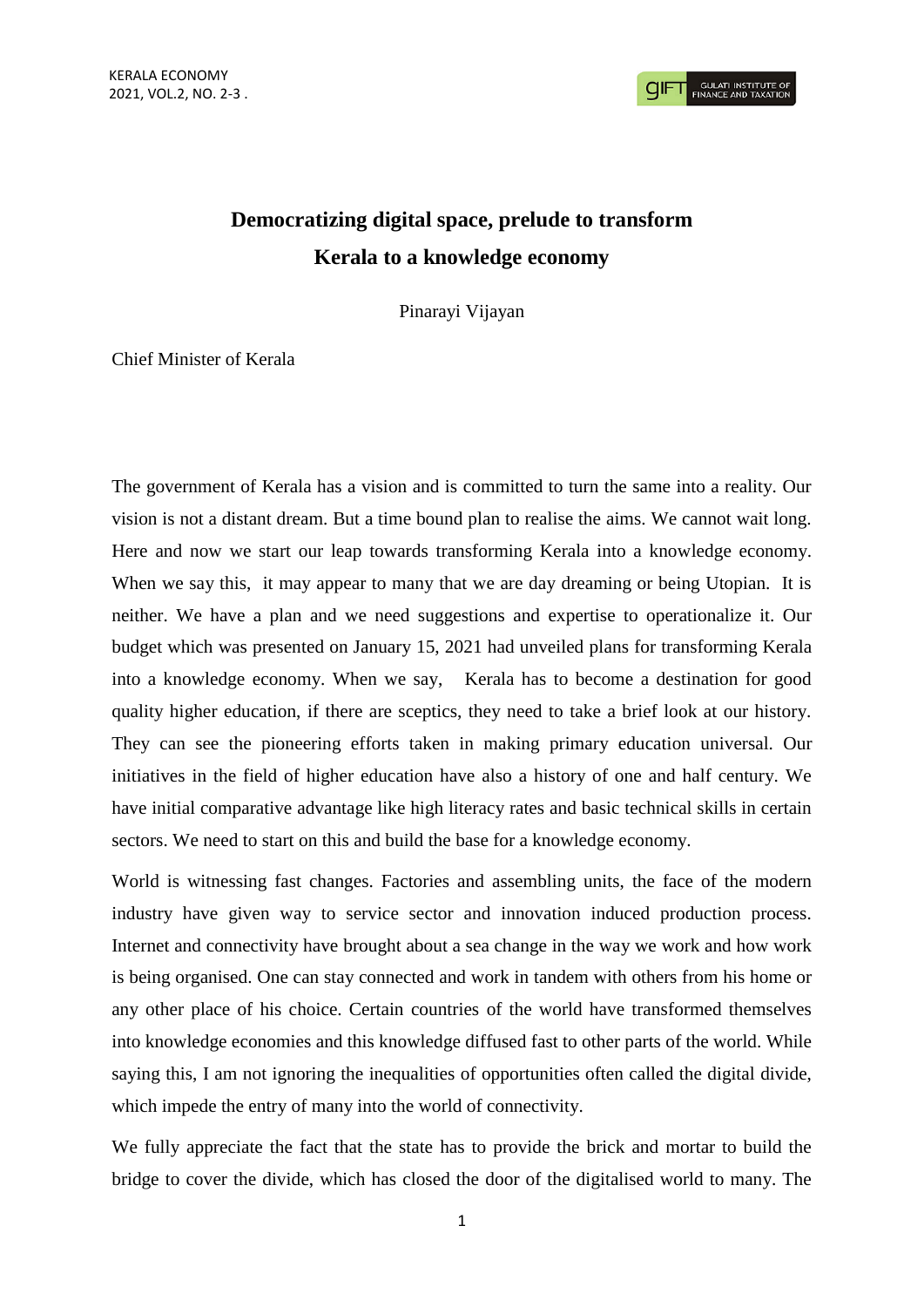**GULATI INSTITUTE O**<br>FINANCE AND TAXATIO

## **Democratizing digital space, prelude to transform Kerala to a knowledge economy**

Pinarayi Vijayan

Chief Minister of Kerala

The government of Kerala has a vision and is committed to turn the same into a reality. Our vision is not a distant dream. But a time bound plan to realise the aims. We cannot wait long. Here and now we start our leap towards transforming Kerala into a knowledge economy. When we say this, it may appear to many that we are day dreaming or being Utopian. It is neither. We have a plan and we need suggestions and expertise to operationalize it. Our budget which was presented on January 15, 2021 had unveiled plans for transforming Kerala into a knowledge economy. When we say, Kerala has to become a destination for good quality higher education, if there are sceptics, they need to take a brief look at our history. They can see the pioneering efforts taken in making primary education universal. Our initiatives in the field of higher education have also a history of one and half century. We have initial comparative advantage like high literacy rates and basic technical skills in certain sectors. We need to start on this and build the base for a knowledge economy.

World is witnessing fast changes. Factories and assembling units, the face of the modern industry have given way to service sector and innovation induced production process. Internet and connectivity have brought about a sea change in the way we work and how work is being organised. One can stay connected and work in tandem with others from his home or any other place of his choice. Certain countries of the world have transformed themselves into knowledge economies and this knowledge diffused fast to other parts of the world. While saying this, I am not ignoring the inequalities of opportunities often called the digital divide, which impede the entry of many into the world of connectivity.

We fully appreciate the fact that the state has to provide the brick and mortar to build the bridge to cover the divide, which has closed the door of the digitalised world to many. The